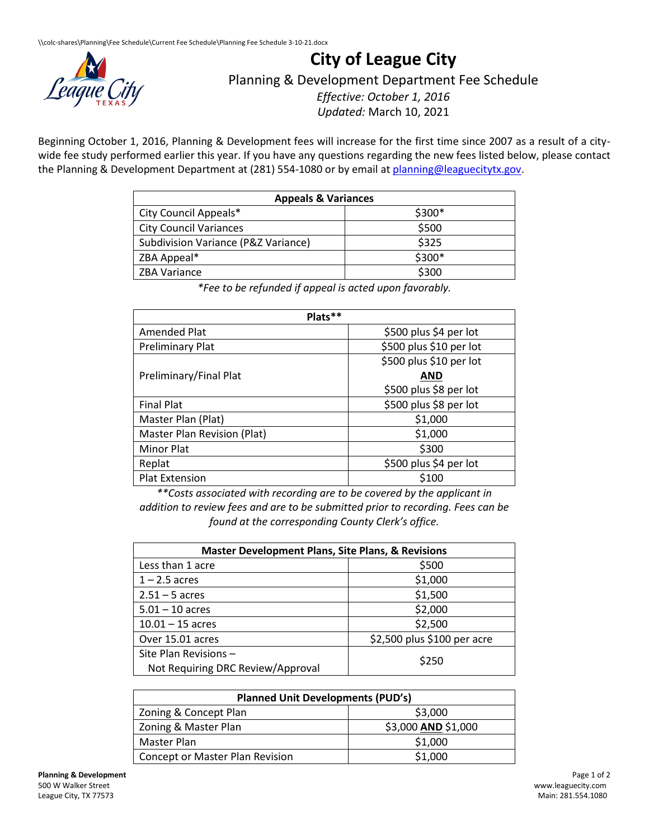

## **City of League City**

Planning & Development Department Fee Schedule

*Effective: October 1, 2016 Updated:* March 10, 2021

Beginning October 1, 2016, Planning & Development fees will increase for the first time since 2007 as a result of a citywide fee study performed earlier this year. If you have any questions regarding the new fees listed below, please contact the Planning & Development Department at (281) 554-1080 or by email a[t planning@leaguecitytx.gov.](mailto:planning@leaguecitytx.gov)

| <b>Appeals &amp; Variances</b>      |         |
|-------------------------------------|---------|
| City Council Appeals*               | $$300*$ |
| <b>City Council Variances</b>       | \$500   |
| Subdivision Variance (P&Z Variance) | \$325   |
| ZBA Appeal*                         | \$300*  |
| <b>ZBA Variance</b>                 | \$300   |

*\*Fee to be refunded if appeal is acted upon favorably.*

| Plats**                     |                         |
|-----------------------------|-------------------------|
| Amended Plat                | \$500 plus \$4 per lot  |
| Preliminary Plat            | \$500 plus \$10 per lot |
|                             | \$500 plus \$10 per lot |
| Preliminary/Final Plat      | <b>AND</b>              |
|                             | \$500 plus \$8 per lot  |
| <b>Final Plat</b>           | \$500 plus \$8 per lot  |
| Master Plan (Plat)          | \$1,000                 |
| Master Plan Revision (Plat) | \$1,000                 |
| <b>Minor Plat</b>           | \$300                   |
| Replat                      | \$500 plus \$4 per lot  |
| <b>Plat Extension</b>       | \$100                   |

*\*\*Costs associated with recording are to be covered by the applicant in addition to review fees and are to be submitted prior to recording. Fees can be found at the corresponding County Clerk's office.*

| <b>Master Development Plans, Site Plans, &amp; Revisions</b> |                             |
|--------------------------------------------------------------|-----------------------------|
| Less than 1 acre                                             | \$500                       |
| $1 - 2.5$ acres                                              | \$1,000                     |
| $2.51 - 5$ acres                                             | \$1,500                     |
| $5.01 - 10$ acres                                            | \$2,000                     |
| $10.01 - 15$ acres                                           | \$2,500                     |
| Over 15.01 acres                                             | \$2,500 plus \$100 per acre |
| Site Plan Revisions -<br>Not Requiring DRC Review/Approval   | \$250                       |

| <b>Planned Unit Developments (PUD's)</b> |                     |
|------------------------------------------|---------------------|
| Zoning & Concept Plan                    | \$3,000             |
| Zoning & Master Plan                     | \$3,000 AND \$1,000 |
| Master Plan                              | \$1,000             |
| Concept or Master Plan Revision          | \$1,000             |